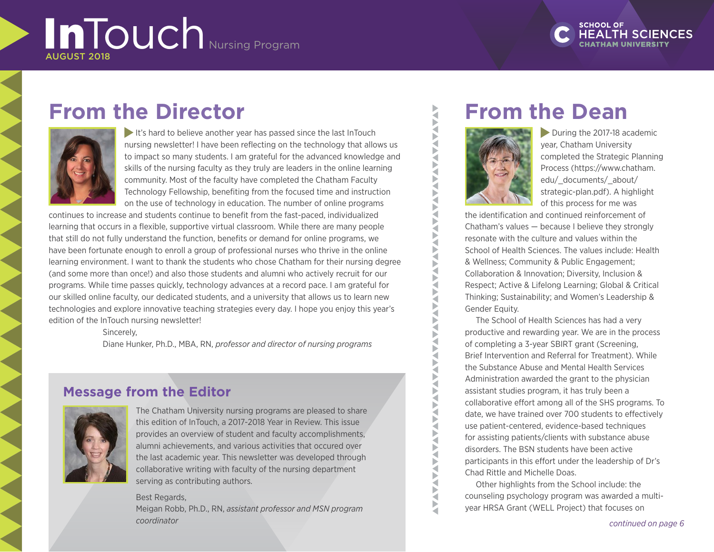# InTouch Nursing Program AUGUST 2018



## **From the Director**



It's hard to believe another year has passed since the last InTouch nursing newsletter! I have been reflecting on the technology that allows us to impact so many students. I am grateful for the advanced knowledge and skills of the nursing faculty as they truly are leaders in the online learning community. Most of the faculty have completed the Chatham Faculty Technology Fellowship, benefiting from the focused time and instruction on the use of technology in education. The number of online programs

continues to increase and students continue to benefit from the fast-paced, individualized learning that occurs in a flexible, supportive virtual classroom. While there are many people that still do not fully understand the function, benefits or demand for online programs, we have been fortunate enough to enroll a group of professional nurses who thrive in the online learning environment. I want to thank the students who chose Chatham for their nursing degree (and some more than once!) and also those students and alumni who actively recruit for our programs. While time passes quickly, technology advances at a record pace. I am grateful for our skilled online faculty, our dedicated students, and a university that allows us to learn new technologies and explore innovative teaching strategies every day. I hope you enjoy this year's edition of the InTouch nursing newsletter!

Sincerely,

Diane Hunker, Ph.D., MBA, RN, *professor and director of nursing programs*

### **Message from the Editor**



The Chatham University nursing programs are pleased to share this edition of InTouch, a 2017-2018 Year in Review. This issue provides an overview of student and faculty accomplishments, alumni achievements, and various activities that occured over the last academic year. This newsletter was developed through collaborative writing with faculty of the nursing department serving as contributing authors.

#### Best Regards,

Meigan Robb, Ph.D., RN, *assistant professor and MSN program coordinator*

### **From the Dean**



Ş ₹

**ANAVAL** 

Q ь ₹ Þ ₹ Þ ∢

Ь

During the 2017-18 academic year, Chatham University completed the Strategic Planning Process (https://www.chatham. edu/\_documents/\_about/ strategic-plan.pdf). A highlight of this process for me was

the identification and continued reinforcement of Chatham's values — because I believe they strongly resonate with the culture and values within the School of Health Sciences. The values include: Health & Wellness; Community & Public Engagement; Collaboration & Innovation; Diversity, Inclusion & Respect; Active & Lifelong Learning; Global & Critical Thinking; Sustainability; and Women's Leadership & Gender Equity.

The School of Health Sciences has had a very productive and rewarding year. We are in the process of completing a 3-year SBIRT grant (Screening, Brief Intervention and Referral for Treatment). While the Substance Abuse and Mental Health Services Administration awarded the grant to the physician assistant studies program, it has truly been a collaborative effort among all of the SHS programs. To date, we have trained over 700 students to effectively use patient-centered, evidence-based techniques for assisting patients/clients with substance abuse disorders. The BSN students have been active participants in this effort under the leadership of Dr's Chad Rittle and Michelle Doas.

Other highlights from the School include: the counseling psychology program was awarded a multiyear HRSA Grant (WELL Project) that focuses on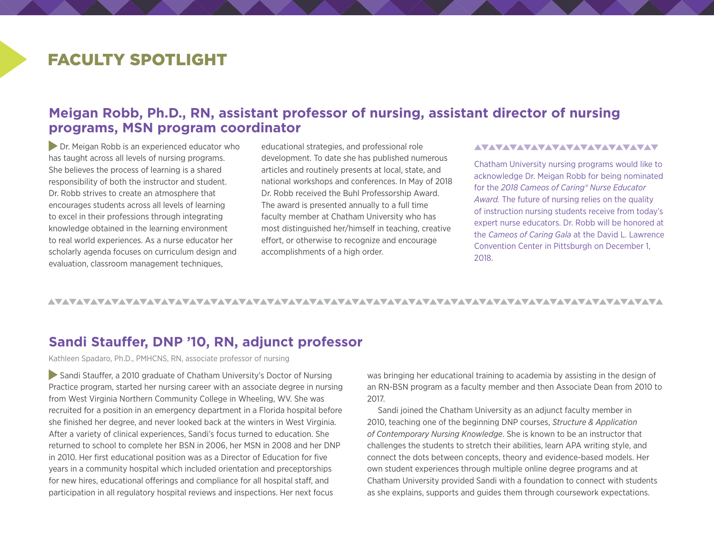### FACULTY SPOTLIGHT

### **Meigan Robb, Ph.D., RN, assistant professor of nursing, assistant director of nursing programs, MSN program coordinator**

**Dr. Meigan Robb is an experienced educator who** has taught across all levels of nursing programs. She believes the process of learning is a shared responsibility of both the instructor and student. Dr. Robb strives to create an atmosphere that encourages students across all levels of learning to excel in their professions through integrating knowledge obtained in the learning environment to real world experiences. As a nurse educator her scholarly agenda focuses on curriculum design and evaluation, classroom management techniques,

educational strategies, and professional role development. To date she has published numerous articles and routinely presents at local, state, and national workshops and conferences. In May of 2018 Dr. Robb received the Buhl Professorship Award. The award is presented annually to a full time faculty member at Chatham University who has most distinguished her/himself in teaching, creative effort, or otherwise to recognize and encourage accomplishments of a high order.

#### <u>AVAVAVAVAVAVAVAVAVAVAVAVAV</u>

Chatham University nursing programs would like to acknowledge Dr. Meigan Robb for being nominated for the *2018 Cameos of Caring® Nurse Educator Award.* The future of nursing relies on the quality of instruction nursing students receive from today's expert nurse educators. Dr. Robb will be honored at the *Cameos of Caring Gala* at the David L. Lawrence Convention Center in Pittsburgh on December 1, 2018.

#### 

### **Sandi Stauffer, DNP '10, RN, adjunct professor**

Kathleen Spadaro, Ph.D., PMHCNS, RN, associate professor of nursing

 Sandi Stauffer, a 2010 graduate of Chatham University's Doctor of Nursing Practice program, started her nursing career with an associate degree in nursing from West Virginia Northern Community College in Wheeling, WV. She was recruited for a position in an emergency department in a Florida hospital before she finished her degree, and never looked back at the winters in West Virginia. After a variety of clinical experiences, Sandi's focus turned to education. She returned to school to complete her BSN in 2006, her MSN in 2008 and her DNP in 2010. Her first educational position was as a Director of Education for five years in a community hospital which included orientation and preceptorships for new hires, educational offerings and compliance for all hospital staff, and participation in all regulatory hospital reviews and inspections. Her next focus

was bringing her educational training to academia by assisting in the design of an RN-BSN program as a faculty member and then Associate Dean from 2010 to 2017.

Sandi joined the Chatham University as an adjunct faculty member in 2010, teaching one of the beginning DNP courses, *Structure & Application of Contemporary Nursing Knowledge*. She is known to be an instructor that challenges the students to stretch their abilities, learn APA writing style, and connect the dots between concepts, theory and evidence-based models. Her own student experiences through multiple online degree programs and at Chatham University provided Sandi with a foundation to connect with students as she explains, supports and guides them through coursework expectations.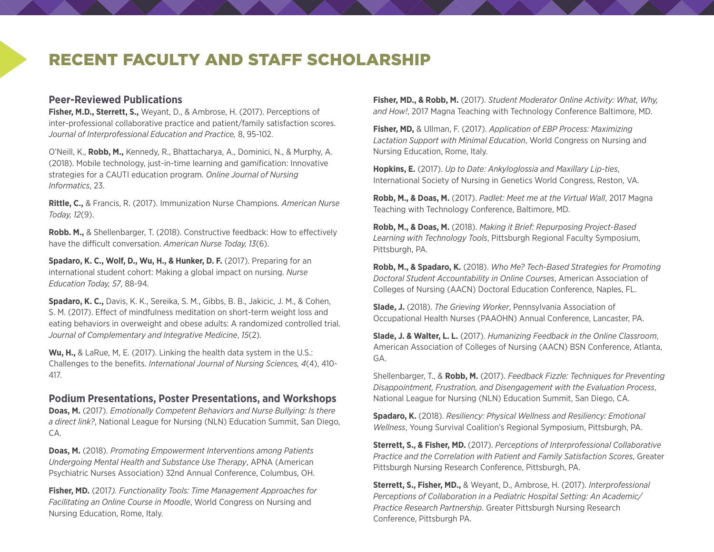### RECENT FACULTY AND STAFF SCHOLARSHIP

#### **Peer-Reviewed Publications**

**Fisher, M.D., Sterrett, S.,** Weyant, D., & Ambrose, H. (2017). Perceptions of inter-professional collaborative practice and patient/family satisfaction scores. *Journal of Interprofessional Education and Practice,* 8, 95-102.

O'Neill, K., **Robb, M.,** Kennedy, R., Bhattacharya, A., Dominici, N., & Murphy, A. (2018). Mobile technology, just-in-time learning and gamification: Innovative strategies for a CAUTI education program. *Online Journal of Nursing Informatics*, 23.

**Rittle, C.,** & Francis, R. (2017). Immunization Nurse Champions. *American Nurse Today, 12*(9).

**Robb. M.,** & Shellenbarger, T. (2018). Constructive feedback: How to effectively have the difficult conversation. *American Nurse Today, 13*(6).

**Spadaro, K. C., Wolf, D., Wu, H., & Hunker, D. F.** (2017). Preparing for an international student cohort: Making a global impact on nursing. *Nurse Education Today, 57*, 88-94.

**Spadaro, K. C.,** Davis, K. K., Sereika, S. M., Gibbs, B. B., Jakicic, J. M., & Cohen, S. M. (2017). Effect of mindfulness meditation on short-term weight loss and eating behaviors in overweight and obese adults: A randomized controlled trial. *Journal of Complementary and Integrative Medicine*, *15*(2).

**Wu, H.,** & LaRue, M, E. (2017). Linking the health data system in the U.S.: Challenges to the benefits. *International Journal of Nursing Sciences, 4*(4), 410- 417.

#### **Podium Presentations, Poster Presentations, and Workshops**

**Doas, M.** (2017). *Emotionally Competent Behaviors and Nurse Bullying: Is there a direct link?*, National League for Nursing (NLN) Education Summit, San Diego, CA.

**Doas, M.** (2018). *Promoting Empowerment Interventions among Patients Undergoing Mental Health and Substance Use Therapy*, APNA (American Psychiatric Nurses Association) 32nd Annual Conference, Columbus, OH.

**Fisher, MD.** (2017*). Functionality Tools: Time Management Approaches for Facilitating an Online Course in Moodle*, World Congress on Nursing and Nursing Education, Rome, Italy.

**Fisher, MD., & Robb, M.** (2017). *Student Moderator Online Activity: What, Why, and How!*, 2017 Magna Teaching with Technology Conference Baltimore, MD.

**Fisher, MD,** & Ullman, F. (2017). *Application of EBP Process: Maximizing Lactation Support with Minimal Education*, World Congress on Nursing and Nursing Education, Rome, Italy.

**Hopkins, E.** (2017). *Up to Date: Ankyloglossia and Maxillary Lip-ties*, International Society of Nursing in Genetics World Congress, Reston, VA.

**Robb, M., & Doas, M.** (2017). *Padlet: Meet me at the Virtual Wall*, 2017 Magna Teaching with Technology Conference, Baltimore, MD.

**Robb, M., & Doas, M.** (2018). *Making it Brief: Repurposing Project-Based Learning with Technology Tools*, Pittsburgh Regional Faculty Symposium, Pittsburgh, PA.

**Robb, M., & Spadaro, K.** (2018). *Who Me? Tech-Based Strategies for Promoting Doctoral Student Accountability in Online Courses*, American Association of Colleges of Nursing (AACN) Doctoral Education Conference, Naples, FL.

**Slade, J.** (2018). *The Grieving Worker*, Pennsylvania Association of Occupational Health Nurses (PAAOHN) Annual Conference, Lancaster, PA.

**Slade, J. & Walter, L. L.** (2017). *Humanizing Feedback in the Online Classroom*, American Association of Colleges of Nursing (AACN) BSN Conference, Atlanta, GA.

Shellenbarger, T., & **Robb, M.** (2017). *Feedback Fizzle: Techniques for Preventing Disappointment, Frustration, and Disengagement with the Evaluation Process*, National League for Nursing (NLN) Education Summit, San Diego, CA.

**Spadaro, K.** (2018). *Resiliency: Physical Wellness and Resiliency: Emotional Wellness*, Young Survival Coalition's Regional Symposium, Pittsburgh, PA.

**Sterrett, S., & Fisher, MD.** (2017). *Perceptions of Interprofessional Collaborative Practice and the Correlation with Patient and Family Satisfaction Scores*, Greater Pittsburgh Nursing Research Conference, Pittsburgh, PA.

**Sterrett, S., Fisher, MD.,** & Weyant, D., Ambrose, H. (2017). *Interprofessional Perceptions of Collaboration in a Pediatric Hospital Setting: An Academic/ Practice Research Partnership*. Greater Pittsburgh Nursing Research Conference, Pittsburgh PA.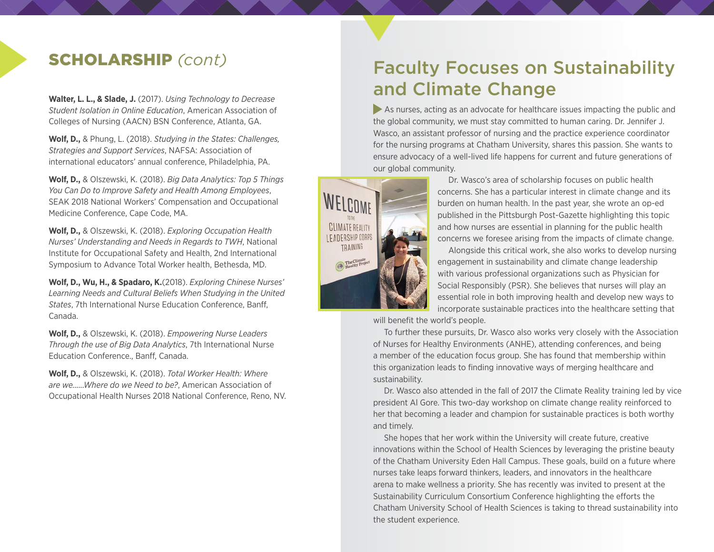**Walter, L. L., & Slade, J.** (2017). *Using Technology to Decrease Student Isolation in Online Education*, American Association of Colleges of Nursing (AACN) BSN Conference, Atlanta, GA.

**Wolf, D.,** & Phung, L. (2018). *Studying in the States: Challenges, Strategies and Support Services*, NAFSA: Association of international educators' annual conference, Philadelphia, PA.

**Wolf, D.,** & Olszewski, K. (2018). *Big Data Analytics: Top 5 Things You Can Do to Improve Safety and Health Among Employees*, SEAK 2018 National Workers' Compensation and Occupational Medicine Conference, Cape Code, MA.

**Wolf, D.,** & Olszewski, K. (2018). *Exploring Occupation Health Nurses' Understanding and Needs in Regards to TWH*, National Institute for Occupational Safety and Health, 2nd International Symposium to Advance Total Worker health, Bethesda, MD.

**Wolf, D., Wu, H., & Spadaro, K.**(2018). *Exploring Chinese Nurses' Learning Needs and Cultural Beliefs When Studying in the United States*, 7th International Nurse Education Conference, Banff, Canada.

**Wolf, D.,** & Olszewski, K. (2018). *Empowering Nurse Leaders Through the use of Big Data Analytics*, 7th International Nurse Education Conference., Banff, Canada.

**Wolf, D.,** & Olszewski, K. (2018). *Total Worker Health: Where are we......Where do we Need to be?*, American Association of Occupational Health Nurses 2018 National Conference, Reno, NV.

## SCHOLARSHIP *(cont)* Faculty Focuses on Sustainability and Climate Change

 As nurses, acting as an advocate for healthcare issues impacting the public and the global community, we must stay committed to human caring. Dr. Jennifer J. Wasco, an assistant professor of nursing and the practice experience coordinator for the nursing programs at Chatham University, shares this passion. She wants to ensure advocacy of a well-lived life happens for current and future generations of our global community.



Dr. Wasco's area of scholarship focuses on public health concerns. She has a particular interest in climate change and its burden on human health. In the past year, she wrote an op-ed published in the Pittsburgh Post-Gazette highlighting this topic and how nurses are essential in planning for the public health concerns we foresee arising from the impacts of climate change.

Alongside this critical work, she also works to develop nursing engagement in sustainability and climate change leadership with various professional organizations such as Physician for Social Responsibly (PSR). She believes that nurses will play an essential role in both improving health and develop new ways to incorporate sustainable practices into the healthcare setting that

will benefit the world's people.

To further these pursuits, Dr. Wasco also works very closely with the Association of Nurses for Healthy Environments (ANHE), attending conferences, and being a member of the education focus group. She has found that membership within this organization leads to finding innovative ways of merging healthcare and sustainability.

Dr. Wasco also attended in the fall of 2017 the Climate Reality training led by vice president Al Gore. This two-day workshop on climate change reality reinforced to her that becoming a leader and champion for sustainable practices is both worthy and timely.

She hopes that her work within the University will create future, creative innovations within the School of Health Sciences by leveraging the pristine beauty of the Chatham University Eden Hall Campus. These goals, build on a future where nurses take leaps forward thinkers, leaders, and innovators in the healthcare arena to make wellness a priority. She has recently was invited to present at the Sustainability Curriculum Consortium Conference highlighting the efforts the Chatham University School of Health Sciences is taking to thread sustainability into the student experience.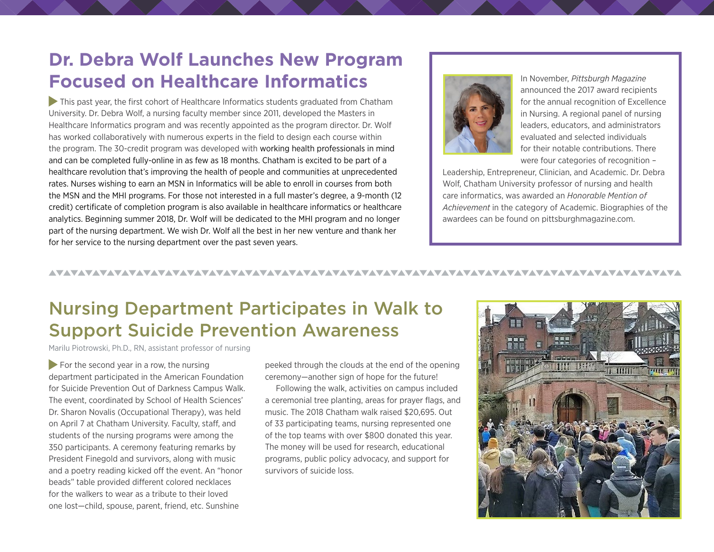### **Dr. Debra Wolf Launches New Program Focused on Healthcare Informatics**

 This past year, the first cohort of Healthcare Informatics students graduated from Chatham University. Dr. Debra Wolf, a nursing faculty member since 2011, developed the Masters in Healthcare Informatics program and was recently appointed as the program director. Dr. Wolf has worked collaboratively with numerous experts in the field to design each course within the program. The 30-credit program was developed with working health professionals in mind and can be completed fully-online in as few as 18 months. Chatham is excited to be part of a healthcare revolution that's improving the health of people and communities at unprecedented rates. Nurses wishing to earn an MSN in Informatics will be able to enroll in courses from both the MSN and the MHI programs. For those not interested in a full master's degree, a 9-month (12 credit) certificate of completion program is also available in healthcare informatics or healthcare analytics. Beginning summer 2018, Dr. Wolf will be dedicated to the MHI program and no longer part of the nursing department. We wish Dr. Wolf all the best in her new venture and thank her for her service to the nursing department over the past seven years.



In November, *Pittsburgh Magazine*  announced the 2017 award recipients for the annual recognition of Excellence in Nursing. A regional panel of nursing leaders, educators, and administrators evaluated and selected individuals for their notable contributions. There were four categories of recognition –

Leadership, Entrepreneur, Clinician, and Academic. Dr. Debra Wolf, Chatham University professor of nursing and health care informatics, was awarded an *Honorable Mention of Achievement* in the category of Academic. Biographies of the awardees can be found on pittsburghmagazine.com.

### Nursing Department Participates in Walk to Support Suicide Prevention Awareness

Marilu Piotrowski, Ph.D., RN, assistant professor of nursing

 $\blacktriangleright$  For the second year in a row, the nursing department participated in the American Foundation for Suicide Prevention Out of Darkness Campus Walk. The event, coordinated by School of Health Sciences' Dr. Sharon Novalis (Occupational Therapy), was held on April 7 at Chatham University. Faculty, staff, and students of the nursing programs were among the 350 participants. A ceremony featuring remarks by President Finegold and survivors, along with music and a poetry reading kicked off the event. An "honor beads" table provided different colored necklaces for the walkers to wear as a tribute to their loved one lost—child, spouse, parent, friend, etc. Sunshine

peeked through the clouds at the end of the opening ceremony—another sign of hope for the future!

Following the walk, activities on campus included a ceremonial tree planting, areas for prayer flags, and music. The 2018 Chatham walk raised \$20,695. Out of 33 participating teams, nursing represented one of the top teams with over \$800 donated this year. The money will be used for research, educational programs, public policy advocacy, and support for survivors of suicide loss.

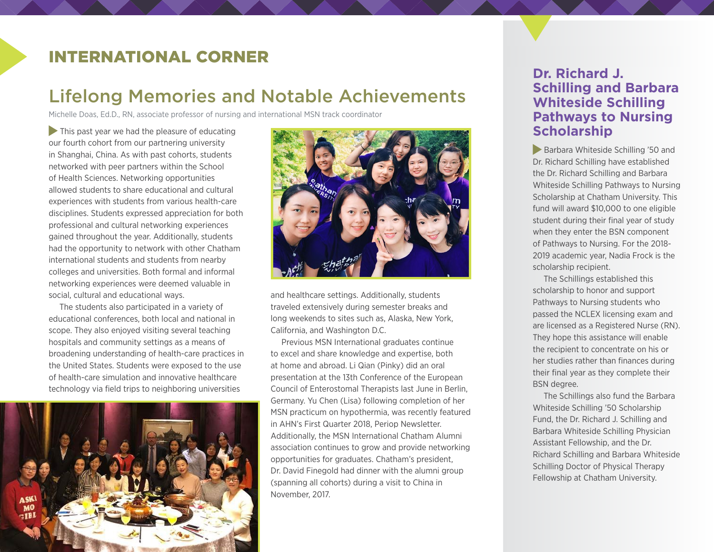### INTERNATIONAL CORNER

### Lifelong Memories and Notable Achievements

Michelle Doas, Ed.D., RN, associate professor of nursing and international MSN track coordinator

 $\blacktriangleright$  This past year we had the pleasure of educating our fourth cohort from our partnering university in Shanghai, China. As with past cohorts, students networked with peer partners within the School of Health Sciences. Networking opportunities allowed students to share educational and cultural experiences with students from various health-care disciplines. Students expressed appreciation for both professional and cultural networking experiences gained throughout the year. Additionally, students had the opportunity to network with other Chatham international students and students from nearby colleges and universities. Both formal and informal networking experiences were deemed valuable in social, cultural and educational ways.

The students also participated in a variety of educational conferences, both local and national in scope. They also enjoyed visiting several teaching hospitals and community settings as a means of broadening understanding of health-care practices in the United States. Students were exposed to the use of health-care simulation and innovative healthcare technology via field trips to neighboring universities





and healthcare settings. Additionally, students traveled extensively during semester breaks and long weekends to sites such as, Alaska, New York, California, and Washington D.C.

Previous MSN International graduates continue to excel and share knowledge and expertise, both at home and abroad. Li Qian (Pinky) did an oral presentation at the 13th Conference of the European Council of Enterostomal Therapists last June in Berlin, Germany. Yu Chen (Lisa) following completion of her MSN practicum on hypothermia, was recently featured in AHN's First Quarter 2018, Periop Newsletter. Additionally, the MSN International Chatham Alumni association continues to grow and provide networking opportunities for graduates. Chatham's president, Dr. David Finegold had dinner with the alumni group (spanning all cohorts) during a visit to China in November, 2017.

### **Dr. Richard J. Schilling and Barbara Whiteside Schilling Pathways to Nursing Scholarship**

Barbara Whiteside Schilling '50 and Dr. Richard Schilling have established the Dr. Richard Schilling and Barbara Whiteside Schilling Pathways to Nursing Scholarship at Chatham University. This fund will award \$10,000 to one eligible student during their final year of study when they enter the BSN component of Pathways to Nursing. For the 2018- 2019 academic year, Nadia Frock is the scholarship recipient.

The Schillings established this scholarship to honor and support Pathways to Nursing students who passed the NCLEX licensing exam and are licensed as a Registered Nurse (RN). They hope this assistance will enable the recipient to concentrate on his or her studies rather than finances during their final year as they complete their BSN degree.

The Schillings also fund the Barbara Whiteside Schilling '50 Scholarship Fund, the Dr. Richard J. Schilling and Barbara Whiteside Schilling Physician Assistant Fellowship, and the Dr. Richard Schilling and Barbara Whiteside Schilling Doctor of Physical Therapy Fellowship at Chatham University.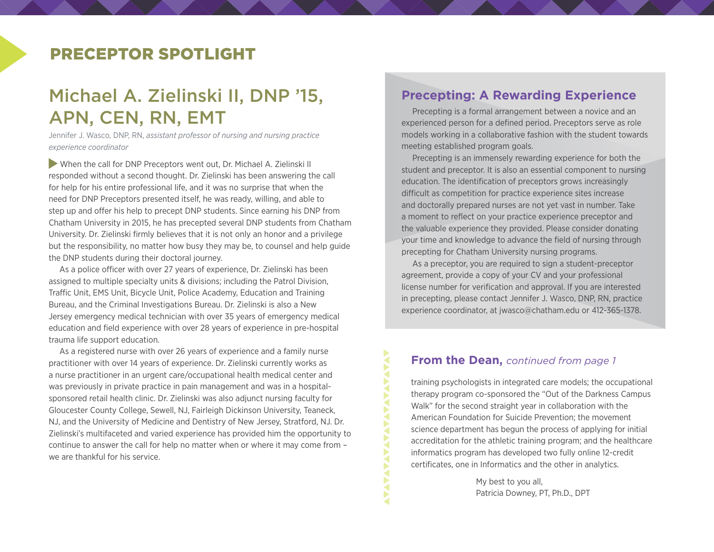### PRECEPTOR SPOTLIGHT

### Michael A. Zielinski II, DNP '15, APN, CEN, RN, EMT

Jennifer J. Wasco, DNP, RN, *assistant professor of nursing and nursing practice experience coordinator*

 When the call for DNP Preceptors went out, Dr. Michael A. Zielinski II responded without a second thought. Dr. Zielinski has been answering the call for help for his entire professional life, and it was no surprise that when the need for DNP Preceptors presented itself, he was ready, willing, and able to step up and offer his help to precept DNP students. Since earning his DNP from Chatham University in 2015, he has precepted several DNP students from Chatham University. Dr. Zielinski firmly believes that it is not only an honor and a privilege but the responsibility, no matter how busy they may be, to counsel and help guide the DNP students during their doctoral journey.

As a police officer with over 27 years of experience, Dr. Zielinski has been assigned to multiple specialty units & divisions; including the Patrol Division, Traffic Unit, EMS Unit, Bicycle Unit, Police Academy, Education and Training Bureau, and the Criminal Investigations Bureau. Dr. Zielinski is also a New Jersey emergency medical technician with over 35 years of emergency medical education and field experience with over 28 years of experience in pre-hospital trauma life support education.

As a registered nurse with over 26 years of experience and a family nurse practitioner with over 14 years of experience. Dr. Zielinski currently works as a nurse practitioner in an urgent care/occupational health medical center and was previously in private practice in pain management and was in a hospitalsponsored retail health clinic. Dr. Zielinski was also adjunct nursing faculty for Gloucester County College, Sewell, NJ, Fairleigh Dickinson University, Teaneck, NJ, and the University of Medicine and Dentistry of New Jersey, Stratford, NJ. Dr. Zielinski's multifaceted and varied experience has provided him the opportunity to continue to answer the call for help no matter when or where it may come from – we are thankful for his service.

#### **Precepting: A Rewarding Experience**

Precepting is a formal arrangement between a novice and an experienced person for a defined period. Preceptors serve as role models working in a collaborative fashion with the student towards meeting established program goals.

Precepting is an immensely rewarding experience for both the student and preceptor. It is also an essential component to nursing education. The identification of preceptors grows increasingly difficult as competition for practice experience sites increase and doctorally prepared nurses are not yet vast in number. Take a moment to reflect on your practice experience preceptor and the valuable experience they provided. Please consider donating your time and knowledge to advance the field of nursing through precepting for Chatham University nursing programs.

As a preceptor, you are required to sign a student-preceptor agreement, provide a copy of your CV and your professional license number for verification and approval. If you are interested in precepting, please contact Jennifer J. Wasco, DNP, RN, practice experience coordinator, at [jwasco@chatham.edu](mailto:jwasco@chatham.edu) or 412-365-1378.

#### **From the Dean,** *continued from page 1*

**ANAVANYA** 

training psychologists in integrated care models; the occupational therapy program co-sponsored the "Out of the Darkness Campus Walk" for the second straight year in collaboration with the American Foundation for Suicide Prevention; the movement science department has begun the process of applying for initial accreditation for the athletic training program; and the healthcare informatics program has developed two fully online 12-credit certificates, one in Informatics and the other in analytics.

> My best to you all, Patricia Downey, PT, Ph.D., DPT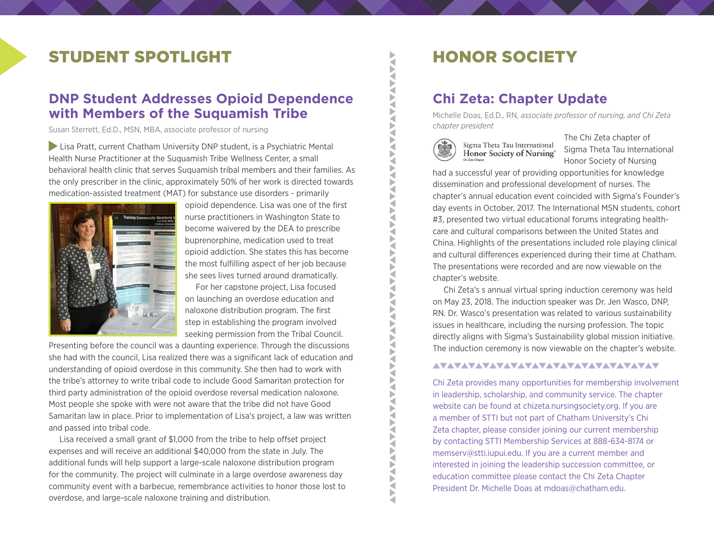### STUDENT SPOTLIGHT

### **DNP Student Addresses Opioid Dependence with Members of the Suquamish Tribe**

Susan Sterrett, Ed.D., MSN, MBA, associate professor of nursing

Lisa Pratt, current Chatham University DNP student, is a Psychiatric Mental Health Nurse Practitioner at the Suquamish Tribe Wellness Center, a small behavioral health clinic that serves Suquamish tribal members and their families. As the only prescriber in the clinic, approximately 50% of her work is directed towards medication-assisted treatment (MAT) for substance use disorders - primarily



opioid dependence. Lisa was one of the first nurse practitioners in Washington State to become waivered by the DEA to prescribe buprenorphine, medication used to treat opioid addiction. She states this has become the most fulfilling aspect of her job because she sees lives turned around dramatically.

For her capstone project, Lisa focused on launching an overdose education and naloxone distribution program. The first step in establishing the program involved seeking permission from the Tribal Council.

Presenting before the council was a daunting experience. Through the discussions she had with the council, Lisa realized there was a significant lack of education and understanding of opioid overdose in this community. She then had to work with the tribe's attorney to write tribal code to include Good Samaritan protection for third party administration of the opioid overdose reversal medication naloxone. Most people she spoke with were not aware that the tribe did not have Good Samaritan law in place. Prior to implementation of Lisa's project, a law was written and passed into tribal code.

Lisa received a small grant of \$1,000 from the tribe to help offset project expenses and will receive an additional \$40,000 from the state in July. The additional funds will help support a large-scale naloxone distribution program for the community. The project will culminate in a large overdose awareness day community event with a barbecue, remembrance activities to honor those lost to overdose, and large-scale naloxone training and distribution.

### **Chi Zeta: Chapter Update**

Michelle Doas, Ed.D., RN, *associate professor of nursing, and Chi Zeta chapter president*



**XAX** 

**ANAV** 

**ANTIQUE ANTIQUE ANTIQUE ANTIQUE ANTIQUE ANTIQUE ANTIQUE ANTIQUE ANTIQUE ANTIQUE ANTIQUE ANTIQUE ANTIQUE ANTIQUE ANTIQUE ANTIQUE ANTIQUE ANTIQUE ANTIQUE ANTIQUE ANTIQUE ANTIQUE ANTIQUE ANTIQUE ANTIQUE ANTIQUE ANTIQUE ANTIQ** 

Sigma Theta Tau International Honor Society of Nursing®

The Chi Zeta chapter of Sigma Theta Tau International Honor Society of Nursing

had a successful year of providing opportunities for knowledge dissemination and professional development of nurses. The chapter's annual education event coincided with Sigma's Founder's day events in October, 2017. The International MSN students, cohort #3, presented two virtual educational forums integrating healthcare and cultural comparisons between the United States and China. Highlights of the presentations included role playing clinical and cultural differences experienced during their time at Chatham. The presentations were recorded and are now viewable on the chapter's website.

Chi Zeta's s annual virtual spring induction ceremony was held on May 23, 2018. The induction speaker was Dr. Jen Wasco, DNP, RN. Dr. Wasco's presentation was related to various sustainability issues in healthcare, including the nursing profession. The topic directly aligns with Sigma's Sustainability global mission initiative. The induction ceremony is now viewable on the chapter's website.

#### AVAVAVAVAVAVAVAVAVAVAVAVAVAVAVAV

Chi Zeta provides many opportunities for membership involvement in leadership, scholarship, and community service. The chapter website can be found at chizeta.nursingsociety.org. If you are a member of STTI but not part of Chatham University's Chi Zeta chapter, please consider joining our current membership by contacting STTI Membership Services at 888-634-8174 or memserv@stti.iupui.edu. If you are a current member and interested in joining the leadership succession committee, or education committee please contact the Chi Zeta Chapter President Dr. Michelle Doas at mdoas@chatham.edu.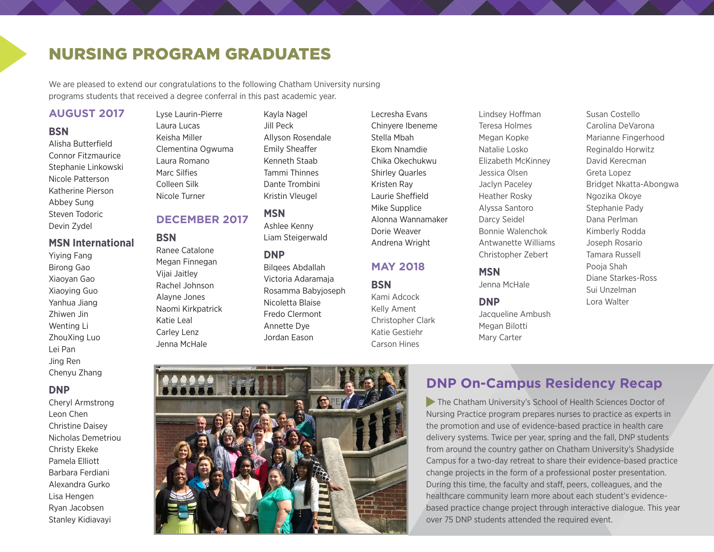### NURSING PROGRAM GRADUATES

We are pleased to extend our congratulations to the following Chatham University nursing programs students that received a degree conferral in this past academic year.

#### **AUGUST 2017**

#### **BSN**

Alisha Butterfield Connor Fitzmaurice Stephanie Linkowski Nicole Patterson Katherine Pierson Abbey Sung Steven Todoric Devin Zydel

#### **MSN International**

Yiying Fang Birong Gao Xiaoyan Gao Xiaoying Guo Yanhua Jiang Zhiwen Jin Wenting Li ZhouXing Luo Lei Pan Jing Ren Chenyu Zhang

#### **DNP**

Cheryl Armstrong Leon Chen Christine Daisey Nicholas Demetriou Christy Ekeke Pamela Elliott Barbara Ferdiani Alexandra Gurko Lisa Hengen Ryan Jacobsen Stanley Kidiavayi

Lyse Laurin-Pierre Laura Lucas Keisha Miller Clementina Ogwuma Laura Romano Marc Silfies Colleen Silk Nicole Turner

### **DECEMBER 2017**

### **BSN**

- Ranee Catalone Megan Finnegan Vijai Jaitley Rachel Johnson Alayne Jones Naomi Kirkpatrick Katie Leal Carley Lenz Jenna McHale
- Kayla Nagel Jill Peck Allyson Rosendale Emily Sheaffer Kenneth Staab Tammi Thinnes Dante Trombini Kristin Vleugel

### **MSN**

Ashlee Kenny Liam Steigerwald

#### **DNP**

- Bilqees Abdallah Victoria Adaramaja Rosamma Babyjoseph Nicoletta Blaise Fredo Clermont Annette Dye Jordan Eason
- Lecresha Evans Chinyere Ibeneme Stella Mbah Ekom Nnamdie Chika Okechukwu Shirley Quarles Kristen Ray Laurie Sheffield Mike Supplice Alonna Wannamaker Dorie Weaver Andrena Wright

### **MAY 2018**

#### **BSN**

Kami Adcock Kelly Ament Christopher Clark Katie Gestiehr Carson Hines

Lindsey Hoffman Teresa Holmes Megan Kopke Natalie Losko Elizabeth McKinney Jessica Olsen Jaclyn Paceley Heather Rosky Alyssa Santoro Darcy Seidel Bonnie Walenchok Antwanette Williams Christopher Zebert

#### **MSN**

Jenna McHale

#### **DNP**

Jacqueline Ambush Megan Bilotti Mary Carter

Susan Costello Carolina DeVarona Marianne Fingerhood Reginaldo Horwitz David Kerecman Greta Lopez Bridget Nkatta-Abongwa Ngozika Okoye Stephanie Pady Dana Perlman Kimberly Rodda Joseph Rosario Tamara Russell Pooja Shah Diane Starkes-Ross Sui Unzelman Lora Walter

### **DNP On-Campus Residency Recap**

The Chatham University's School of Health Sciences Doctor of Nursing Practice program prepares nurses to practice as experts in the promotion and use of evidence-based practice in health care delivery systems. Twice per year, spring and the fall, DNP students from around the country gather on Chatham University's Shadyside Campus for a two-day retreat to share their evidence-based practice change projects in the form of a professional poster presentation. During this time, the faculty and staff, peers, colleagues, and the healthcare community learn more about each student's evidencebased practice change project through interactive dialogue. This year over 75 DNP students attended the required event.